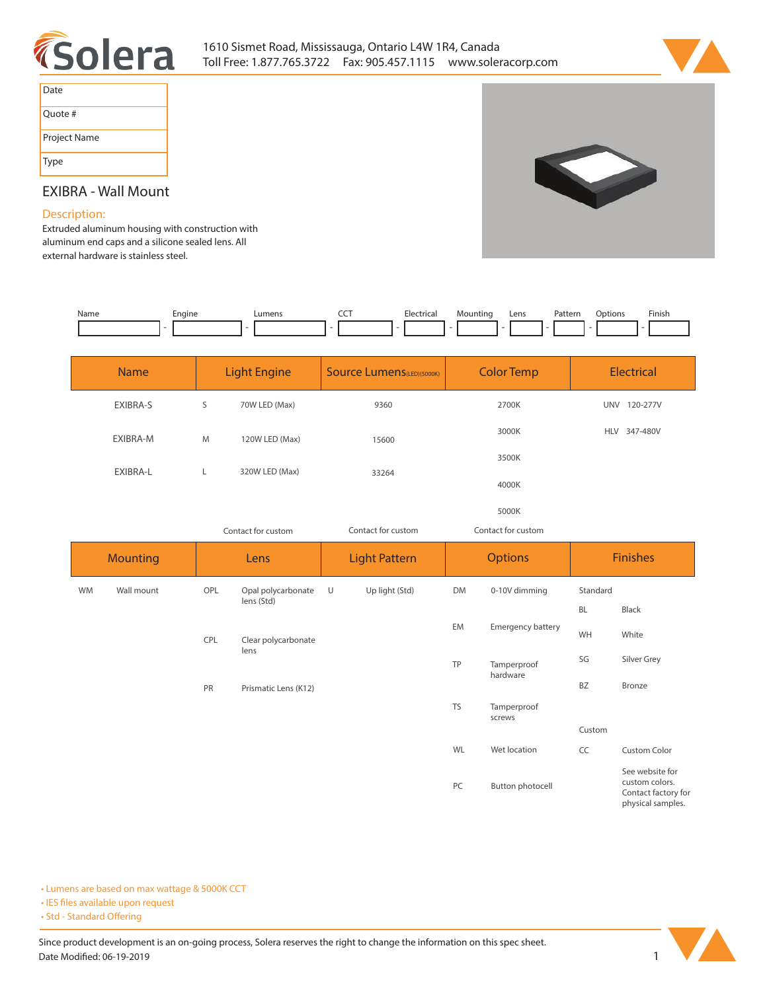



| Date         |
|--------------|
| Quote #      |
| Project Name |
| Type         |

# **EXIBRA - Wall Mount**

# **Description:**

**Extruded aluminum housing with construction with aluminum end caps and a silicone sealed lens. All external hardware is stainless steel.**

| Name | Engine | <b>IIMANS</b> | --- | L.a | lountinc<br>$\sim$ | Lens | cor.<br>Pattern | <b>Finis</b> |
|------|--------|---------------|-----|-----|--------------------|------|-----------------|--------------|
|      |        |               |     |     |                    |      |                 |              |

| <b>Name</b>     | <b>Light Engine</b> |                    | <b>Source Lumens</b> (LED)(5000K)         | <b>Color Temp</b>  | <b>Electrical</b> |
|-----------------|---------------------|--------------------|-------------------------------------------|--------------------|-------------------|
| EXIBRA-S        | S                   | 70W LED (Max)      | 9360                                      | 2700K              | UNV 120-277V      |
| EXIBRA-M        | M                   | 120W LED (Max)     | 15600                                     | 3000K              | HLV 347-480V      |
|                 |                     |                    | 3500K<br>320W LED (Max)<br>33264<br>4000K |                    |                   |
| EXIBRA-L        | L.                  |                    |                                           |                    |                   |
|                 |                     |                    |                                           | 5000K              |                   |
|                 |                     | Contact for custom | Contact for custom                        | Contact for custom |                   |
| <b>Mounting</b> |                     | Lens               | <b>Light Pattern</b>                      | <b>Options</b>     | <b>Finishes</b>   |

|           | $1110$ and $1111$ |     | ----                 |        | __________     |           | $     -$                |           | .                                                                             |
|-----------|-------------------|-----|----------------------|--------|----------------|-----------|-------------------------|-----------|-------------------------------------------------------------------------------|
| <b>WM</b> | Wall mount        | OPL | Opal polycarbonate   | $\cup$ | Up light (Std) | DM        | 0-10V dimming           | Standard  |                                                                               |
|           |                   |     | lens (Std)           |        |                |           | Emergency battery       | <b>BL</b> | Black                                                                         |
|           |                   | CPL | Clear polycarbonate  |        |                | EM        |                         | WH        | White                                                                         |
|           |                   |     | lens                 |        |                |           |                         | SG        | Silver Grey                                                                   |
|           |                   |     |                      |        |                | TP        | Tamperproof<br>hardware |           |                                                                               |
|           |                   | PR  | Prismatic Lens (K12) |        |                |           |                         | BZ        | Bronze                                                                        |
|           |                   |     |                      |        |                | <b>TS</b> | Tamperproof<br>screws   |           |                                                                               |
|           |                   |     |                      |        |                |           |                         | Custom    |                                                                               |
|           |                   |     |                      |        |                | WL        | Wet location            | CC        | Custom Color                                                                  |
|           |                   |     |                      |        |                | PC        | <b>Button photocell</b> |           | See website for<br>custom colors.<br>Contact factory for<br>physical samples. |

**• Lumens are based on max wattage & 5000K CCT**

**• IES files available upon request** 

• Std - Standard Offering